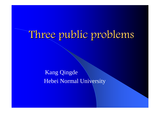# Three public problems

### Kang Qingde Hebei Normal University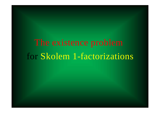### for Skolem 1-factorizations The existence pro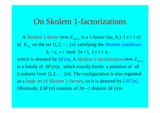### On Skolem 1-factorizations

A Skolem 1-factor over  $Z_{2n+1}$  is a 1-factor  $\{(a_i,b_i):1\leq i\leq n\}$ of  $K_{2n}$  on the set  $\{1, 2, \dots, 2n\}$  satisfying the Skolem condition:  $b_i - a_i \equiv i \mod 2n + 1, 1 \le i \le n$ ,

which is denoted by  $SF(n)$ . A Skolem 1-factorization over  $Z_{2n+1}$ is a family of  $SF(n)s$ , which exactly forms a partition of all 2-subsets from  $\{1, 2, \dots, 2n\}$ . The configuration is also regarded as a large set of Skolem 1-factors, so it is denoted by  $LSF(n)$ . Obviously,  $LSF(n)$  consists of  $2n - 1$  disjoint  $SF(n)s$ .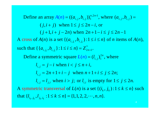$, 2n-1$ **Define an array**  $A(n) = ((a_{i,j}, b_{i,j}))_1^{n, 2n-1}$ , where  $(a_{i,j}, b_{i,j})$ A cross of  $A(n)$  is a set  $\{(a_{i,j_i}, b_{i,j_i})$ :  $(j, i + j)$  when  $1 \le j \le 2n - i$ , or  $(j+1, i+j-2n)$  when  $2n+1-i \leq j \leq 2n-1$  $A(n) = ((a_{n+1}, b_{n+1}))_1^{n+2n-1}$ , where  $(a_{n+1}, b_{n+1}) =$ *A(n)* is a set  $\{(a_{i,i}, b_{i,i}): 1 \le i \le n\}$  of *n* items of  $A(n)$ , such that  $\{ \{a_{i,j_i}, b_{i,j_i}\} : 1 \le i \le n \} = Z^*_{2n+1}$ . **Define a symmetric square**  $L(n) = (l_{i,j})_1^{2n}$ **, where**  $l_{i,j} = j - i$  when  $i < j \leq n + i$ , ,  $l_{i,j} = 2n + 1 + i - j$  when  $n + 1 + i \le j \le 2n$ ;  $L(n) = (l)$  $a_{i,j}$ ,  $b_{i,j}$ }:1  $\leq i \leq n$ } =  $Z_{2n+1}$ <sup>\*</sup>  $l_{i,j} = l_{j,i}$  when  $i > j$ ; or  $l_{i,i}$  is empty for  $1 \le j \le 2n$ . that  $\{l_{i_k, j_k}, l_{j_k, i_k} : 1 \leq k \leq n\} = \{1, 1, 2, 2, \cdots, n, n\}.$ A symmetric transversal of  $L(n)$  is a set  $\{(i_k, j_k): 1 \leq k \leq n\}$  such  $l_i$ ,  $l_i$ ,  $: 1 \le k \le n$  = {1,1,2,2,  $\cdots$ , *n*, *n*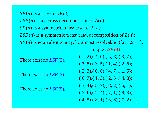$SF(n)$  is a cross of  $A(n);$ 

 $LSF(n)$  is a a cross decomposition of  $A(n)$ ;

 $SF(n)$  is a symmetric transversal of  $L(n);$ 

 $LSF(n)$  is a symmetric transversal decomposition of  $L(n)$ ;

*SF*(*n*) is equivalent to a cyclic almost resolvable B[2,1;2n+1]. unique *LSF*(4)

There exist no  $LSF(2)$ .

There exist no  $LSF(3)$ .

There exist no *LSF*(5).

 $(1, 2), (4, 6), (5, 8), (3, 7);$  $(7, 8), (3, 5), (1, 4), (2, 6);$  $( 2, 3), ( 6, 8), ( 4, 7), ( 1, 5);$  $(6, 7), (1, 3), (2, 5), (4, 8);$  $(3, 4), (5, 7), (8, 2), (6, 1);$  $(5, 6), (2, 4), (7, 1), (8, 3);$  $(4, 5), (8, 1), (3, 6), (7, 2).$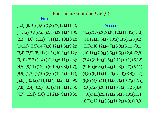$(1,2),(8,10),(3,6),(5,9),(7,12),(11,4);$  $(11,12),(6,8),(2,5),(3,7),(9,1),(4,10);$  $(2,3),(4,6),(9,12),(7,11),(5,10),(8,1);$  $(10,11), (3,5), (4,7), (8,12), (1,6), (9,2);$  $(3,4), (7,9), (8,11), (1,5), (10,2), (6,12);$  $(9,10), (5,7), (1,4), (12,3), (6,11), (2,8);$  $(4,5), (9,11), (12,2), (6,10), (3,8), (1,7);$  $(8,9), (1,3), (7,10), (2,6), (12,4), (5,11);$  $(5,6),(10,12),(11,1),(4,8),(2,7),(3,9);$  $(7,8), (2,4), (6,9), (10,1), (11,3), (12,5);$  $(6,7),(12,1),(5,8),(11,2),(4,9),(10,3).$ 

First

6 (6,7),(12,1),(5,8),(11,2),(4,9),(10,3).  $(1,2),(5,7),(6,9),(8,12),(11,3),(4,10);$  $(11,12),(3,5),(7,10),(4,8),(1,6),(9,2);$  $(2,3),(10,12),(4,7),(5,9),(6,11),(8,1);$  $(10,11), (7,9), (3,6), (1,5), (12,4), (2,8);$  $(3,4), (8,10), (2,5), (7,11), (9,1), (6,12);$ Second $(9,10), (6,8), (1,4), (12,3), (2,7), (5,11);$  $(4,5), (9,11), (12,2), (6,10), (3,8), (1,7);$  $(8,9),(4,6),(11,1),(3,7),(10,2),(12,5);$  $(5,6),(2,4),(8,11),(10,1),(7,12),(3,9);$  $(7,8), (1,3), (9,12), (2,6), (5,10), (11,4);$ 

## Four nonisomorphic *LSF*(6)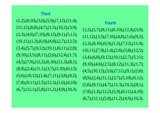#### Third

 $(1,2),(8,10),(3,6),(5,9),(7,12),(11,4);$  $(11,12),(6,8),(4,7),(1,5),(10,2),(3,9);$  $(2,3),(4,6),(7,10),(8,12),(9,1),(5,11);$  $(10,11), (1,3), (6,9), (4,8), (2,7), (12,5);$  $(3,4), (5,7), (9,12), (10,1), (6,11), (2,8);$  $(9,10), (3,5), (8,11), (2,6), (12,4), (1,7);$  $(4,5), (7,9), (12,2), (6,10), (11,3), (8,1);$  $(8,9),(2,4),(11,1),(3,7),(5,10),(6,12);$  $(5,6),(10,12),(1,4),(7,11),(3,8),(9,2);$  $(7,8), (9,11), (2,5), (12,3), (1,6), (4,10);$  $(6,7),(12,1),(5,8),(11,2),(4,9),(10,3).$ 

7 $(1,2),(5,7),(8,11),(6,10),(12,4),(3,9);$  $(11,12),(3,5),(7,10),(4,8),(1,6),(9,2);$  $(2,3),(8,10),(6,9),(1,5),(7,12),(11,4);$  $(10,11), (7,9), (1,4), (2,6), (3,8), (12,5);$  $(3,4), (6,8), (9,12), (10,1), (2,7), (5,11);$ Fourth $(9,10),(4,6),(2,5),(8,12),(11,3),(1,7);$  $(4,5)$ , $(10,12)$ , $(3,6)$ , $(7,11)$ , $(9,1)$ , $(2,8)$ ;  $(8,9), (2,4), (11,1), (3,7), (5,10), (6,12);$  $(5,6),(9,11),(4,7),(12,3),(10,2),(8,1);$  $(7,8), (1,3), (12,2), (5,9), (6,11), (4,10);$  $(6,7),(12,1),(5,8),(11,2),(4,9),(10,3).$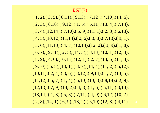#### *LSF*(7)

 $( 1, 2), ( 3, 5), ( 8, 11), ( 9, 13), ( 7, 12), ( 4, 10), (14, 6),$  $( 2, 3), ( 8, 10), ( 9, 12), ( 1, 5), ( 6, 11), (13, 4), ( 7, 14),$  $(3, 4), (12, 14), (7, 10), (5, 9), (11, 1), (2, 8), (6, 13),$  $( 4, 5), (10, 12), (11, 14), (2, 6), (3, 8), (7, 13), (9, 1),$  $( 5, 6), (11,13), ( 4, 7), (10,14), (12, 2), ( 3, 9), ( 1, 8),$  $(6, 7), (9,11), (2, 5), (14, 3), (8,13), (10, 1), (12, 4),$  $( 8, 9), ( 4, 6), (10, 13), (12, 1), (2, 7), (14, 5), (11, 3),$  $( 9,10), ( 6, 8), (13, 1), ( 3, 7), (14, 4), (11, 2), (5,12),$  $(10,11), (2, 4), (3, 6), (8,12), (9,14), (1, 7), (13, 5),$  $(11,12), (5, 7), (1, 4), (6,10), (13, 3), (8,14), (2, 9),$  $(12,13)$ , $(7, 9)$ , $(14, 2)$ , $(4, 8)$ , $(1, 6)$ , $(5,11)$ , $(3,10)$ ,  $(13,14)$ ,  $(1, 3)$ ,  $(5, 8)$ ,  $(7,11)$ ,  $(4, 9)$ ,  $(6,12)$ ,  $(10, 2)$ ,  $( 7, 8), (14, 1), ( 6, 9), (13, 2), ( 5,10), (12, 3), ( 4,11).$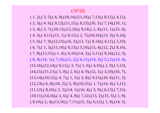#### *LSF*(8)

 $( 1, 2), ( 3, 5), ( 6, 9), (10, 14), (11, 16), ( 7, 13), ( 8, 15), ( 4, 12),$  $( 2, 3), ( 4, 6), ( 9, 12), (11, 15), ( 8, 13), (16, 5), ( 7, 14), (10, 1),$  $(3, 4), (5, 7), (10, 13), (12, 16), (9, 14), (2, 8), (11, 1), (15, 6),$  $( 4, 5), ( 9, 11), (15, 1), (8, 12), (2, 7), (10, 16), (13, 3), (6, 14),$  $( 5, 6), ( 7, 9), (12, 15), (16, 3), (13, 1), ( 8, 14), ( 4, 11), ( 2, 10),$  $(6, 7), (1, 3), (11, 14), (9, 13), (5, 10), (15, 4), (12, 2), (8, 16),$  $(8, 9), (16, 1), (7, 10), (15, 2), (6, 11), (14, 3), (5, 12), (13, 4),$  $(7, 8), (13, 15), (1, 4), (6, 10), (14, 2), (5, 11), (9, 16), (12, 3),$  $(15,16),(12,14),(8,11),(3,7),(1,6),(4,10),(2,9),(5,13),$  $(14,15),(11,13),(5,8),(2,6),(4,9),(12,1),(3,10),(16,7),$  $(13,14),(10,12),(4,7),(1,5),(3,8),(9,15),(16,6),(11,2),$  $(12,13)$ , $(6, 8)$ , $(16, 2)$ , $(5, 9)$ , $(10,15)$ , $(1, 7)$ , $(14, 4)$ , $(3,11)$ ,  $(11,12), (8,10), (2, 5), (14, 1), (16, 4), (3, 9), (6,13), (7,15),$  $(10,11), (14,16), (3, 6), (4, 8), (7,12), (13, 2), (15, 5), (1, 9),$  $( 9,10), ( 2, 4), (13,16), ( 7,11), (15, 3), ( 6,12), ( 1, 8), (14, 5).$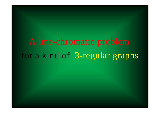for a k ind of 3-re gular gra phs A line -chromat ic prob lem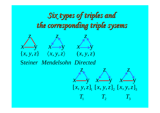# Six types of triples and *the corresponding triple sysems the corresponding triple sysems*



S *teiner Mendelsohn Directed*

 $x$  — y *z x*——y *x*——y *z x*——y *x*——y *z x* $\left[ \left. x , y , z \right]_{\!} \left[ \left. x , y , z \right]_{\!} \left[ \left. x , y , z \right]_{\!} \right]$ 1  $\overline{1}$   $\overline{2}$   $\overline{1}$   $\overline{3}$  $T$ ,  $T$ ,  $T$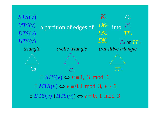a partition of edges of  $\frac{DK_v}{\text{into}}$ *triangle C*<sup>3</sup> *TT* $TT_{3}$ *transitive triangle cyclic triangle KvDKv*  $STS(v)$  $MTS(v)$  $DTS(v)$  $HTS(v)$ *C*<sup>3</sup> *C*3 $\longrightarrow$ *C* 3 or *T T* 3  $\longrightarrow$ *DKv DKvTT*3*C*3 $\longrightarrow$  $\exists STS(v) \Longleftrightarrow v \equiv 1, 3 \mod 6$  $\exists MTS(v) \Leftrightarrow v \equiv 0,1 \mod 3, v \neq 6$  $\exists$  DTS(v)  $(HTS(v)) \Leftrightarrow v \equiv 0, 1 \mod 3$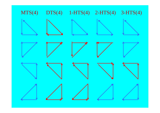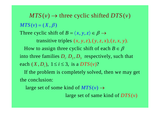into three families  $D_1, D_2, D_3$  respectively, such that  $\alpha$  transitive triples  $(x, y, z), (y, z, x), (z, x, y)$ . Three cyclic shift of  $B = \langle x, y, z \rangle$ How to assign three cyclic shift of each  $B \in \beta$  $MTS(v) = (X, \beta)$  $=\langle x,y,z\rangle \in \beta \rightarrow$ = each  $(X, D_i)$ ,  $1 \le i \le 3$ , is a  $DTS(v)$ ?  $MTS(v) \rightarrow$  three cyclic shifted  $DTS(v)$ 

 If the problem is completely solved, then we may get the conclusion:

large set of some kind of  $MTS(v) \rightarrow$ 

**defining 1** arge set of same kind of  $DTS(v)$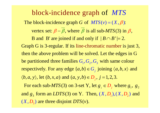The block-incidence graph G of  $MTS(v) = (X, \beta)$ : vertex set:  $\beta - \beta$ , where  $\beta$  is all sub-*MTS*(3) in  $\beta$ , **B** and **B'** are joined if and only if  $|B \cap B'| = 2$ . Graph G is 3-regular. If its line-chromatic number is just 3, − $-\beta$ , where  $\beta$  is all sub-MTS(3) in  $\beta$ . = be partitioned three families  $G_1, G_2, G_3$  with same colour then the above problem will be solved. Let the edges in G respectively. For any edge  $\{a,b\} \in G$ , joining  $\langle a,b,x \rangle$  and  $\langle b, a, y \rangle$ , let  $(b, x, a)$  and  $(a, y, b) \in D_j$ ,  $j = 1, 2, 3$ .  $a,b$ }  $\in$   $G_j$  joining  $\langle a,b,x \rangle$ and  $g_3$  form an *LDTS*(3) on Y. Then,  $(X, D_1)$ ,  $(X, D_2)$  and  $(X, D_3)$  are three disjoint  $DTS(v)$ . For each sub-*MTS*(3) on 3-set Y, let  $g_j \in D_j$  where  $g_1, g_2$  $MTS(3)$  on 3-set Y, let  $g_i \in D_i$  where  $g_i$ , g block-incidence graph of *MTS*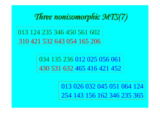

013 124 235 346 450 561 602310 421 532 643 054 165 206

> 034 135 236 012 025 056 061430 531 632 465 416 421 452

> > 013 026 032 045 051 064 124254 143 156 162 346 235 365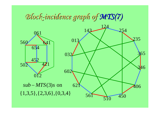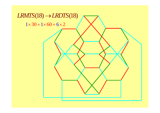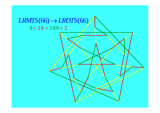### $LRMTS(66) \rightarrow LRDTS(66)$  $9 \times 28 + 589 \times 2$

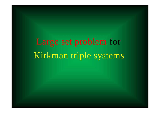Ki rk man rge set problem for triple sy s tems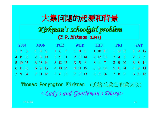## 大集问题的起源和背景

### *Kirkman Kirkman's schoolgirl problem s schoolgirl problem* **(***T. P. Kirkman T. P. Kirkman* **1847)**

|  |  |                                                      |  |  |  |  |  |  |  |  |  |  | SUN MON TUE WED THU FRI SAT |  |  |  |  |  |
|--|--|------------------------------------------------------|--|--|--|--|--|--|--|--|--|--|-----------------------------|--|--|--|--|--|
|  |  | 1 2 3 1 4 5 1 6 7 1 8 9 1 10 11 1 12 13 1 14 15      |  |  |  |  |  |  |  |  |  |  |                             |  |  |  |  |  |
|  |  | 4 8 12 2 8 10 2 9 11 2 12 14 2 13 15 2 4 6 2 5 7     |  |  |  |  |  |  |  |  |  |  |                             |  |  |  |  |  |
|  |  | 5 10 15 3 13 14 3 12 15 3 5 6 3 4 7 3 9 10 3 8 11    |  |  |  |  |  |  |  |  |  |  |                             |  |  |  |  |  |
|  |  | 6 11 13 6 9 15 4 10 14 4 11 15 5 9 12 5 11 14 4 9 13 |  |  |  |  |  |  |  |  |  |  |                             |  |  |  |  |  |
|  |  | 7 9 14 7 11 12 5 8 13 7 10 13 6 8 14 7 8 15 6 10 12  |  |  |  |  |  |  |  |  |  |  |                             |  |  |  |  |  |

Thomas Penyngton Kirkman (英格兰教会的教区长) <sup>&</sup>lt;*Lady's and Gentleman's Diary>*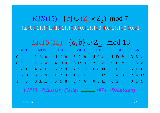$\{a,50,31\},\{01,41,51\},\{00,10,11\},\{20,40,61\},\{30,60,21\}$  $KTS(15)$   $\{a\} \cup (\mathbb{Z}_7 \times \mathbb{Z}_2) \mod 7$ 

|            |                                         |        |  |  |         | <i>LKTS</i> (15) $\{a,b\} \cup Z_{13} \mod 13$                                                |                                       |  |                          |  |  |  |  |  |               |  |            |                     |                     |  |
|------------|-----------------------------------------|--------|--|--|---------|-----------------------------------------------------------------------------------------------|---------------------------------------|--|--------------------------|--|--|--|--|--|---------------|--|------------|---------------------|---------------------|--|
| <b>SUN</b> |                                         |        |  |  |         |                                                                                               | <b>Example 19 MON TUE WED THU FRI</b> |  |                          |  |  |  |  |  |               |  | <b>SAT</b> |                     |                     |  |
|            |                                         |        |  |  |         | 0 <i>a b</i> 2 8 <i>b</i> 11 12 <i>b</i> 5 7 <i>b</i> 4 9 <i>b</i> 1 10 <i>b</i> 3 6 <i>b</i> |                                       |  |                          |  |  |  |  |  |               |  |            |                     |                     |  |
|            |                                         | 8 9 12 |  |  |         | 1 6 a 4 10 a 3 12 a 2 5 a 9 11 a                                                              |                                       |  |                          |  |  |  |  |  |               |  |            |                     | 78a                 |  |
|            |                                         | 3 7 10 |  |  |         | 4 7 11 6 7 9 2 9 10                                                                           |                                       |  |                          |  |  |  |  |  | 6 8 10 5 6 12 |  |            |                     | 5 10 11             |  |
|            |                                         |        |  |  |         | 2 6 11 3 5 9 1 2 3 1 8 11                                                                     |                                       |  |                          |  |  |  |  |  |               |  |            | 1 7 12 3 4 8 2 4 12 |                     |  |
|            |                                         | 145    |  |  | 0 10 12 |                                                                                               |                                       |  | 0 5 8 0 4 6 0 3 11 0 2 7 |  |  |  |  |  |               |  |            |                     | $0 \quad 1 \quad 9$ |  |
|            | (1850 Sylvester, Cayley 1974 Denniston) |        |  |  |         |                                                                                               |                                       |  |                          |  |  |  |  |  |               |  |            |                     |                     |  |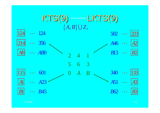

17:03:06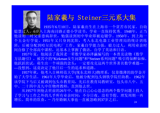



1935年6月10日,陆家羲出生在上海市一个贫苦市民家。自幼 聪慧过人,6岁入上海南浔路正德小学读书,学业一直保持优秀. 1948年,正当 他读初二时父亲患病辞世,勉强读到初中毕业即被迫辍学。1950年,到上海一 个五金行学徒。1951年又只身到沈阳,考入东北电器工业管理局的统计训练 班,后被分配到哈尔滨电机厂工作。家羲自学能力强,毅力过人,利用业余时 间自修了全部高中课程,还基本上掌握了俄语,自学了英语和日语。

1957年夏,他阅读了我国老一辈数学家孙泽瀛编写的一本普及读物《数学 方法趣引》,被其中的"Kirkman女生问题"和"Steiner系列问题" 吸引得如醉如痴。 他跃跃欲试,萌生出一个顽强的念头:一定要攻克这两个世界著名数学难题— —没想到,这竟决定了他日后一生的追求和道路。

<sup>1957</sup>年秋,他考入吉林师范大学(现东北师大)物理系,仅靠微薄的助学金开 始了大学生活。 1961年大学毕业后,他被分配到包头钢铁学院任助教。 1962年 该学院下马后又被调到包头市教育局,先后在教育局教研室,包头市八中、五 中、二十四中及九中任物理教师,直到他去世。

24从1957年到他去世前的26年中,他在自己心心思念的两个数学问题上投入 了学习与工作之外的几乎所有业余时间:不分日夜、没有节假、理发周期一再 增长、简单的饮食,┈ 乃至婚姻大事也一直被忽略到37岁之后。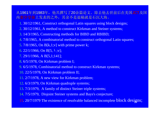从1961年到1983年,他共撰写了20余篇论文。除去他去世前后在美国JCT及国 内数学学报上发表的之外,其余不是退稿就是石沉大海。

- 1. 30/12/1961, Construct orthogonal Latin squares using block designs;
- 2. 30/12/1961, A method to construct Kirkman and Steiner systems;
- 3. 14/3/1965, Constructing methods for BIBD and RBIBD;
- 4. 7/8/1965, A combinatorial method to construct orthogonal Latin squares;
- 5. 7/8/1965, On B[k,1;v] with prime power k;
- 6. 22/1/1966, On B[5,  $\lambda$ ;v];
- 7. 29/1/1966, A B[5,1;141];
- 8. 6/5/1978, On Kirkman problem I;
- 9. 6/5/1978, Combinatorial method to construct Kirkman systems;
- 10. 22/5/1978, On Kirkman problem II;
- 11. 2/7/1978, A new view for Kirkman problem;
- 12. 6/3/1979, On Kirkman quadruple systems;
- 13. 7/3/1979, A family of distinct Steiner triple systems;
- 14. 7/5/1979, Disjoint Steiner systems and Bays's conjecture;
- 15. 20/7/1979 The existence of resolvable balanced incomplete block designs; <sup>25</sup>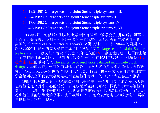16. 18/9/1981 On large sets of disjoint Steiner triple systems I, II;

17. 7/4/1982 On large sets of disjoint Steiner triple systems III;

18. 17/6/1982 On large sets of disjoint Steiner triple systems IV;

19. 4/3/1983 On large sets of disjoint Steiner triple systems V, VI.

1983年7月,他借钱来到大连出席全国首届组合数学会议, 并应邀在闭幕式 上作了大会报告,受到与会中外学者的一致称赞。国际组合论界权威性刊物, 美国的《Journal of Combinatorial Theory》 <sup>A</sup>辑分别在1983和1984年的两期上, 以总共99个印刷页的惊人篇幅连载了他的6篇论文On large sets of disjoint Steiner triple systems (该文基本解决了长达140年之久的LSTS存在性问题, 是国际上第 一个完整的打击系列)。 我国的《数学学报》也在1984年底发表了他解决柯克 曼女生问题的重要论文 The existence of resolvable balanced incomplete block designs。华南师范大学开始商调他去任教,加拿大多伦多大学则邀他去合作研 究。《Math. Review》也函请他担任评论员。1983年l0月在武汉召开的中国数学 学会第四次全国代表大会更是破例邀请他作为唯一的中学代表在会上作报告。 1983年10月30日晚,他从武汉返回包头家中,兴奋地向妻子滔滔不绝地讲 述着他这几个月来内心的感受:研究成果所受到的重视,国内外学术界给他的 赞誉,自己进一步攻关的打算,…但是积久的疲劳和长期潜伏的疾病,已远远

超出他生理能够承受的极限。次日凌晨1时许,他突发"迷走性神经紊乱",猝然 与世长辞。终年才48岁。 26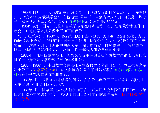1983年11月,包头市政府举行追悼会,对他颁发特别科学奖2000元,并在包 头九中设立"陆家羲奖学金"。在他逝世1周年时,内蒙古政府召开"向优秀知识分 子陆家羲学习表彰大会",追授他特级教师称号及特别奖5000元。

1984年9月,国内十几位组合数学专家在呼和浩特市召开陆家羲学术工作评 审会,对他的学术成果做出了如下的评价:

"……众所周知,1960年,Bose等证明了当t>1时,关于4t+2阶正交拉丁方的 Euler猜想不成立; 1961年Hanani给出并证明了k=3和4的(b,v,r,k,  $\lambda$ )设计存在的充 要条件,这是区组设计理论中的两大举世闻名的成就,陆家羲关于大集的成果可 以与上述两大成就相媲美,并将同它们一起载入组合数学的史册. "

1985年,在中国数学会理事长吴文俊等主持的首届刘微数学讨论班上专门安 排了一个介绍陆家羲研究成果的学术报告。

1985—1986年,中国数学会并委托内蒙古数学会邀请组合设计界三位专家编 辑出版了《陆家羲遗文集》,首次向国内外公布了对陆家羲在RB[3,1;v]和 RB[4,1, v] 存在性研究方面优先权的确认。

1988年8月,根据国内外学者的倡仪,在安徽屯溪召开了以纪念陆家羲先生 为主旨的"区组设计国际会议"。

1989年3月, 陆家羲夫人代表他参加了在北京人民大会堂隆重举行的"1987年 国家自然科学奖颁奖大会",接受了我国自然科学界的最高荣誉—国家自然科学 奖一等奖.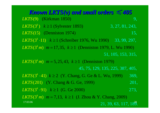*Known LKTS(v) and small orders*  $\leq 405$ **LKTS(9)** (Kirkman 1850)  $LKTS(3^k)$   $k \ge 1$  (Sylvester 1893) 3, 27, 81, 243, 9, 3, 27, 81, 2 (15) (Denniston 1974) *LKTS*  $LKTS(3^k \cdot 11)$   $k \ge 1$  (Schreiber 1976, Wu 1990) 33, 99, 297, *LKTS***(3<sup>k</sup>** *m***)**  $m = 17,35, k \ge 1$  **(Denniston 1979, L. Wu 1990)** 15, *LKTS***(3<sup>k</sup>** *m***)**  $m = 5, 25, 43, k \ge 1$  **(Denniston 1979)** 51, 105, 153, 315, 45, 75, 129, 135, 225, 387, 405,  $LKTS(3^k \cdot 41)$   $k \ge 2$  (Y. Chang, G. Ge & L. Wu, 1999) 369, 201, (201) (Y. Chang & G. Ge, 1999) *LKTS*  $LKTS(3^k \cdot 91)$   $k \ge 1$  (G. Ge 2000) 2 *LKTS*( $3^{k}$ *m*)  $m = 7,13, k \ge 1$  (J. Zhou & Y. Chang, 2009) 73 ,  $21, 39, 63, 117, 189.$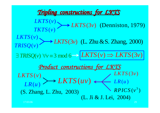### *Tripling constructions for LKTS Tripling constructions for LKTS*

( ) *LKTS <sup>v</sup>*  $TKTS(v)$  $\blacktriangleright$  *LKTS*(3*v*) (Denniston, 1979) ( ) *LKTS <sup>v</sup>*  $TRISQ(v) \rightarrow LKTS(3v)$ 3 ) (L. Zhu &S. Zhang, 200 0 )  $\exists$  TRISQ(v)  $\forall v \equiv 3 \mod{6} \rightarrow |LKTS(v) \Rightarrow LKTS(3v)$ *Product constructions for LKTS* (S. Zhang, L. Zhu, 2003) ( ) ) *LKTS* ( *LR <sup>u</sup> v*  $LKTS(uv)$  $RPICS(v^3)$ *LKTS* (3v)  $(u)$ *LR <sup>u</sup>*(L. Ji & J. Lei, 2004)

 $6$  and  $29$ 

17:03:06